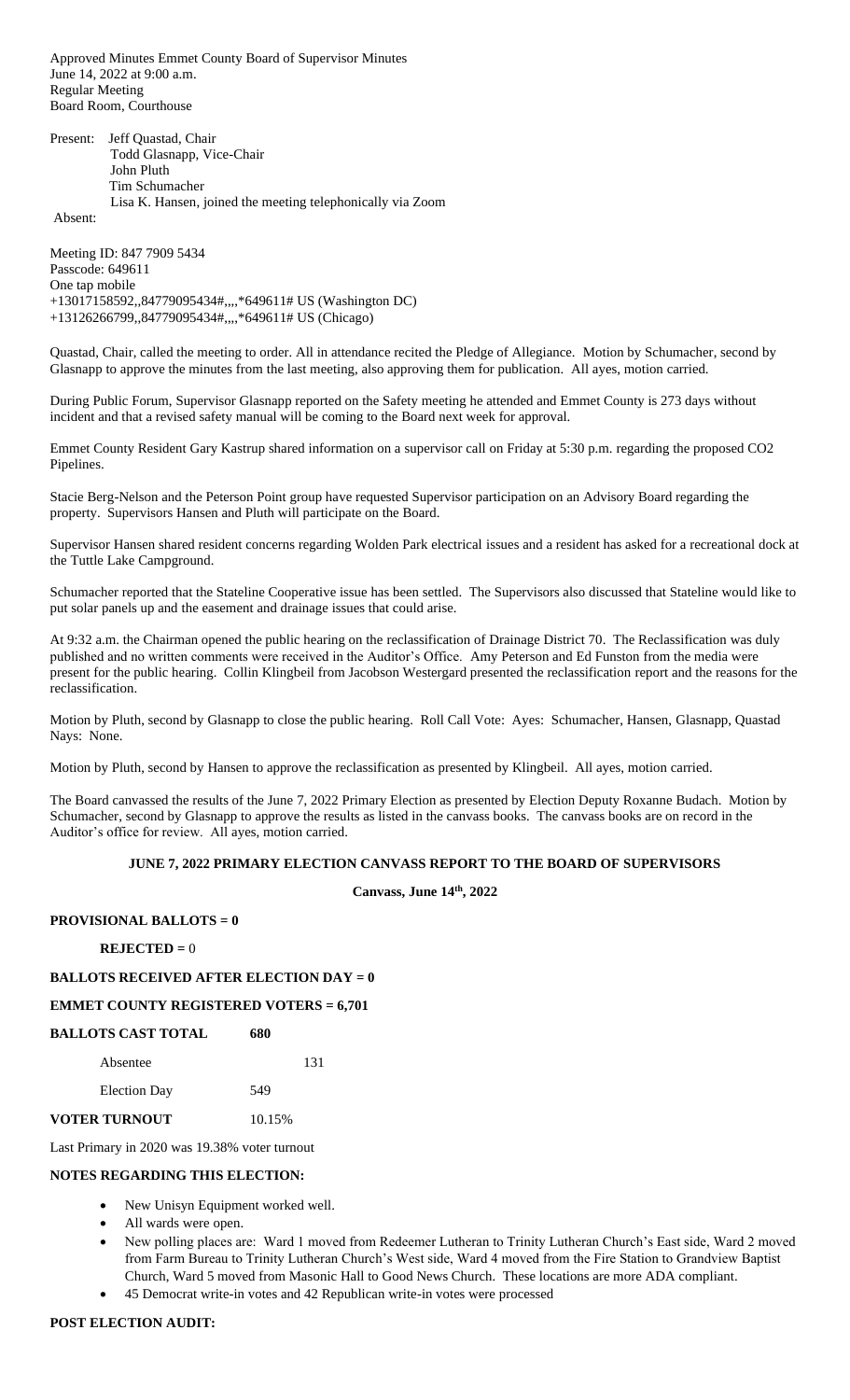Approved Minutes Emmet County Board of Supervisor Minutes June 14, 2022 at 9:00 a.m. Regular Meeting Board Room, Courthouse

Present: Jeff Quastad, Chair Todd Glasnapp, Vice-Chair John Pluth Tim Schumacher Lisa K. Hansen, joined the meeting telephonically via Zoom

Absent:

Meeting ID: 847 7909 5434 Passcode: 649611 One tap mobile +13017158592,,84779095434#,,,,\*649611# US (Washington DC) +13126266799,,84779095434#,,,,\*649611# US (Chicago)

Quastad, Chair, called the meeting to order. All in attendance recited the Pledge of Allegiance. Motion by Schumacher, second by Glasnapp to approve the minutes from the last meeting, also approving them for publication. All ayes, motion carried.

During Public Forum, Supervisor Glasnapp reported on the Safety meeting he attended and Emmet County is 273 days without incident and that a revised safety manual will be coming to the Board next week for approval.

Emmet County Resident Gary Kastrup shared information on a supervisor call on Friday at 5:30 p.m. regarding the proposed CO2 Pipelines.

Stacie Berg-Nelson and the Peterson Point group have requested Supervisor participation on an Advisory Board regarding the property. Supervisors Hansen and Pluth will participate on the Board.

Supervisor Hansen shared resident concerns regarding Wolden Park electrical issues and a resident has asked for a recreational dock at the Tuttle Lake Campground.

Schumacher reported that the Stateline Cooperative issue has been settled. The Supervisors also discussed that Stateline would like to put solar panels up and the easement and drainage issues that could arise.

At 9:32 a.m. the Chairman opened the public hearing on the reclassification of Drainage District 70. The Reclassification was duly published and no written comments were received in the Auditor's Office. Amy Peterson and Ed Funston from the media were present for the public hearing. Collin Klingbeil from Jacobson Westergard presented the reclassification report and the reasons for the reclassification.

Motion by Pluth, second by Glasnapp to close the public hearing. Roll Call Vote: Ayes: Schumacher, Hansen, Glasnapp, Quastad Nays: None.

Motion by Pluth, second by Hansen to approve the reclassification as presented by Klingbeil. All ayes, motion carried.

The Board canvassed the results of the June 7, 2022 Primary Election as presented by Election Deputy Roxanne Budach. Motion by Schumacher, second by Glasnapp to approve the results as listed in the canvass books. The canvass books are on record in the Auditor's office for review. All ayes, motion carried.

#### **JUNE 7, 2022 PRIMARY ELECTION CANVASS REPORT TO THE BOARD OF SUPERVISORS**

**Canvass, June 14th, 2022**

## **PROVISIONAL BALLOTS = 0**

### **REJECTED =** 0

# **BALLOTS RECEIVED AFTER ELECTION DAY = 0**

#### **EMMET COUNTY REGISTERED VOTERS = 6,701**

| BALLOTS CAST TOTAL   | 680    |
|----------------------|--------|
| Absentee             | 131    |
| <b>Election Day</b>  | 549    |
| <b>VOTER TURNOUT</b> | 10.15% |

Last Primary in 2020 was 19.38% voter turnout

#### **NOTES REGARDING THIS ELECTION:**

- New Unisyn Equipment worked well.
- All wards were open.
- New polling places are: Ward 1 moved from Redeemer Lutheran to Trinity Lutheran Church's East side, Ward 2 moved from Farm Bureau to Trinity Lutheran Church's West side, Ward 4 moved from the Fire Station to Grandview Baptist Church, Ward 5 moved from Masonic Hall to Good News Church. These locations are more ADA compliant.
- 45 Democrat write-in votes and 42 Republican write-in votes were processed

### **POST ELECTION AUDIT:**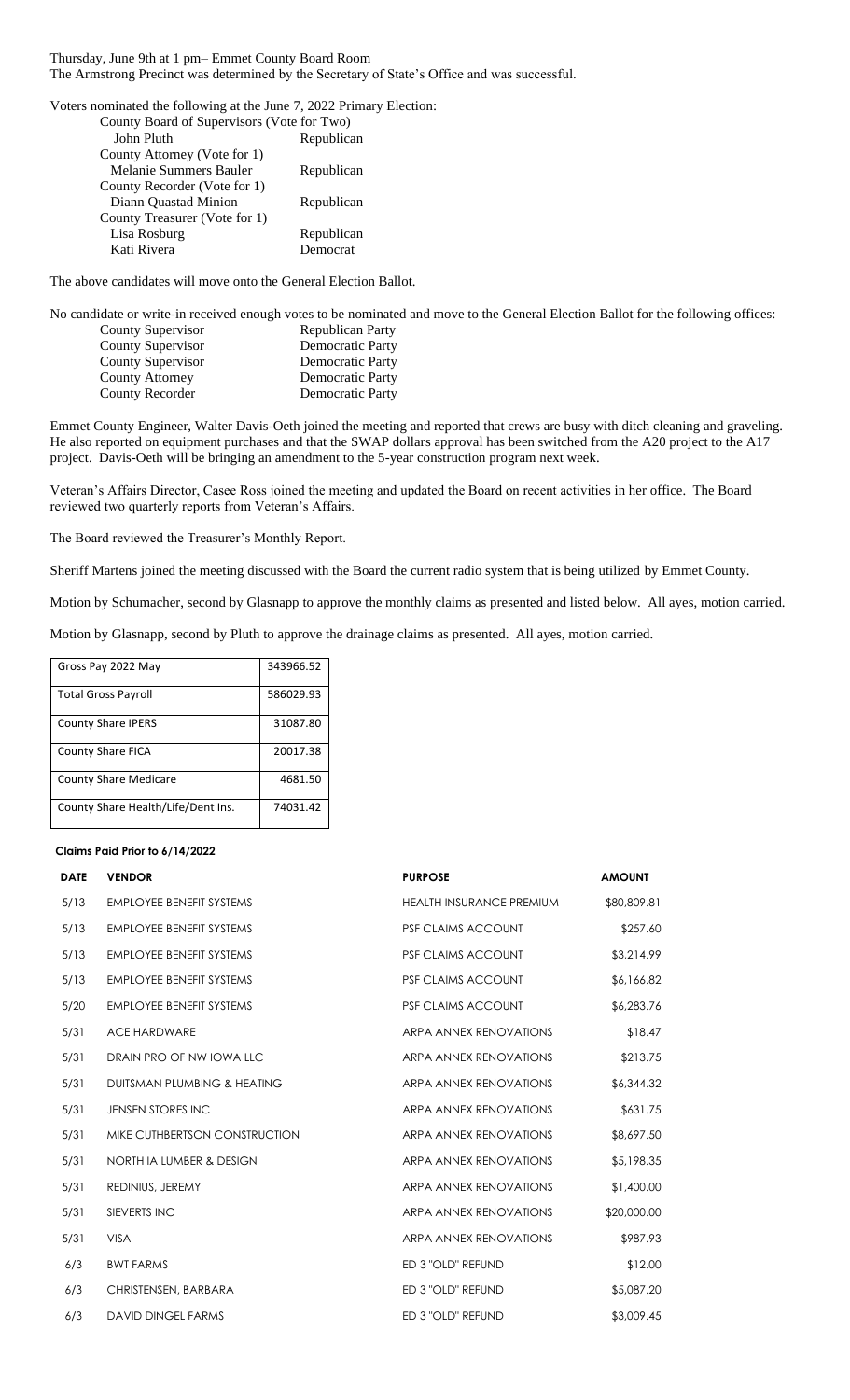Thursday, June 9th at 1 pm– Emmet County Board Room The Armstrong Precinct was determined by the Secretary of State's Office and was successful.

Voters nominated the following at the June 7, 2022 Primary Election:

| County Board of Supervisors (Vote for Two) |            |
|--------------------------------------------|------------|
| John Pluth                                 | Republican |
| County Attorney (Vote for 1)               |            |
| Melanie Summers Bauler                     | Republican |
| County Recorder (Vote for 1)               |            |
| Diann Quastad Minion                       | Republican |
| County Treasurer (Vote for 1)              |            |
| Lisa Rosburg                               | Republican |
| Kati Rivera                                | Democrat   |

The above candidates will move onto the General Election Ballot.

No candidate or write-in received enough votes to be nominated and move to the General Election Ballot for the following offices: County Supervisor Republican Party

| County Supervisor | Democratic Party |
|-------------------|------------------|
| County Supervisor | Democratic Party |
| County Attorney   | Democratic Party |
| County Recorder   | Democratic Party |

Emmet County Engineer, Walter Davis-Oeth joined the meeting and reported that crews are busy with ditch cleaning and graveling. He also reported on equipment purchases and that the SWAP dollars approval has been switched from the A20 project to the A17 project. Davis-Oeth will be bringing an amendment to the 5-year construction program next week.

Veteran's Affairs Director, Casee Ross joined the meeting and updated the Board on recent activities in her office. The Board reviewed two quarterly reports from Veteran's Affairs.

The Board reviewed the Treasurer's Monthly Report.

Sheriff Martens joined the meeting discussed with the Board the current radio system that is being utilized by Emmet County.

Motion by Schumacher, second by Glasnapp to approve the monthly claims as presented and listed below. All ayes, motion carried.

Motion by Glasnapp, second by Pluth to approve the drainage claims as presented. All ayes, motion carried.

| Gross Pay 2022 May                 | 343966.52 |
|------------------------------------|-----------|
| <b>Total Gross Payroll</b>         | 586029.93 |
| <b>County Share IPERS</b>          | 31087.80  |
| <b>County Share FICA</b>           | 20017.38  |
| <b>County Share Medicare</b>       | 4681.50   |
| County Share Health/Life/Dent Ins. | 74031.42  |

#### **Claims Paid Prior to 6/14/2022**

| <b>DATE</b> | <b>VENDOR</b>                   | <b>PURPOSE</b>                  | <b>AMOUNT</b> |
|-------------|---------------------------------|---------------------------------|---------------|
| 5/13        | <b>EMPLOYEE BENEFIT SYSTEMS</b> | <b>HEALTH INSURANCE PREMIUM</b> | \$80,809.81   |
| 5/13        | <b>EMPLOYEE BENEFIT SYSTEMS</b> | <b>PSF CLAIMS ACCOUNT</b>       | \$257.60      |
| 5/13        | <b>EMPLOYEE BENEFIT SYSTEMS</b> | <b>PSF CLAIMS ACCOUNT</b>       | \$3,214.99    |
| 5/13        | <b>EMPLOYEE BENEFIT SYSTEMS</b> | <b>PSF CLAIMS ACCOUNT</b>       | \$6,166.82    |
| 5/20        | <b>EMPLOYEE BENEFIT SYSTEMS</b> | <b>PSF CLAIMS ACCOUNT</b>       | \$6,283.76    |
| 5/31        | <b>ACE HARDWARE</b>             | <b>ARPA ANNEX RENOVATIONS</b>   | \$18.47       |
| 5/31        | DRAIN PRO OF NW IOWA LLC        | <b>ARPA ANNEX RENOVATIONS</b>   | \$213.75      |
| 5/31        | DUITSMAN PLUMBING & HEATING     | <b>ARPA ANNEX RENOVATIONS</b>   | \$6,344.32    |
| 5/31        | <b>JENSEN STORES INC</b>        | <b>ARPA ANNEX RENOVATIONS</b>   | \$631.75      |
| 5/31        | MIKE CUTHBERTSON CONSTRUCTION   | <b>ARPA ANNEX RENOVATIONS</b>   | \$8,697.50    |
| 5/31        | NORTH IA LUMBER & DESIGN        | <b>ARPA ANNEX RENOVATIONS</b>   | \$5,198.35    |
| 5/31        | REDINIUS, JEREMY                | <b>ARPA ANNEX RENOVATIONS</b>   | \$1,400.00    |
| 5/31        | SIEVERTS INC                    | <b>ARPA ANNEX RENOVATIONS</b>   | \$20,000.00   |
| 5/31        | <b>VISA</b>                     | <b>ARPA ANNEX RENOVATIONS</b>   | \$987.93      |
| 6/3         | <b>BWT FARMS</b>                | ED 3 "OLD" REFUND               | \$12.00       |
| 6/3         | CHRISTENSEN, BARBARA            | ED 3 "OLD" REFUND               | \$5,087.20    |
| 6/3         | <b>DAVID DINGEL FARMS</b>       | ED 3 "OLD" REFUND               | \$3,009.45    |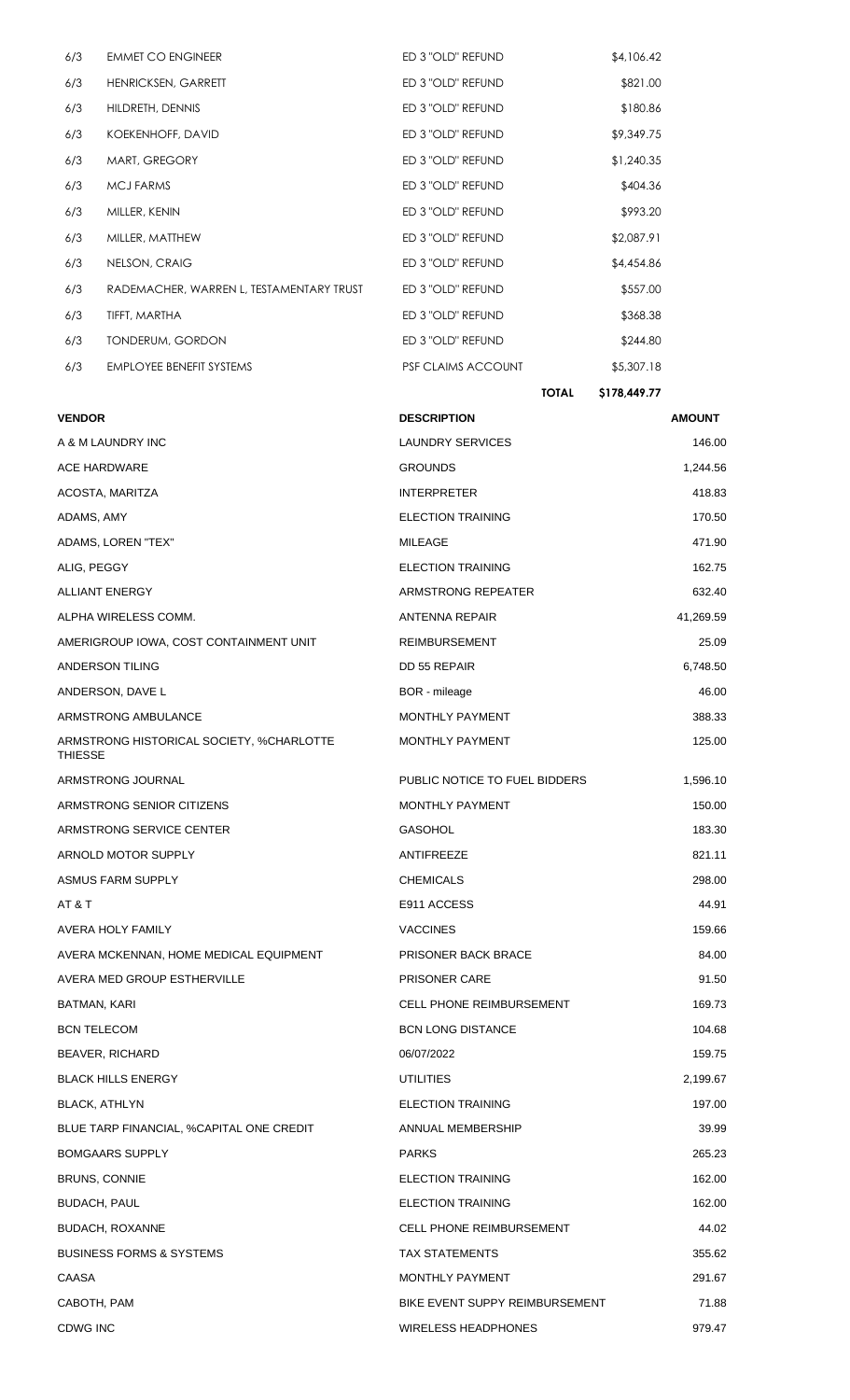|     |                                          |                    | <b>TOTAL</b> | \$178,449.77 |
|-----|------------------------------------------|--------------------|--------------|--------------|
| 6/3 | <b>EMPLOYEE BENEFIT SYSTEMS</b>          | PSF CLAIMS ACCOUNT |              | \$5,307.18   |
| 6/3 | <b>TONDERUM, GORDON</b>                  | ED 3 "OLD" REFUND  |              | \$244.80     |
| 6/3 | TIFFT, MARTHA                            | ED 3 "OLD" REFUND  |              | \$368.38     |
| 6/3 | RADEMACHER, WARREN L, TESTAMENTARY TRUST | ED 3 "OLD" REFUND  |              | \$557.00     |
| 6/3 | NELSON, CRAIG                            | ED 3 "OLD" REFUND  |              | \$4,454.86   |
| 6/3 | MILLER, MATTHEW                          | ED 3 "OLD" REFUND  |              | \$2,087.91   |
| 6/3 | MILLER, KENIN                            | ED 3 "OLD" REFUND  |              | \$993.20     |
| 6/3 | <b>MCJ FARMS</b>                         | ED 3 "OLD" REFUND  |              | \$404.36     |
| 6/3 | MART, GREGORY                            | ED 3 "OLD" REFUND  |              | \$1,240.35   |
| 6/3 | KOEKENHOFF, DAVID                        | ED 3 "OLD" REFUND  |              | \$9,349.75   |
| 6/3 | HILDRETH, DENNIS                         | ED 3 "OLD" REFUND  |              | \$180.86     |
| 6/3 | HENRICKSEN, GARRETT                      | ED 3 "OLD" REFUND  |              | \$821.00     |
| 6/3 | <b>EMMET CO ENGINEER</b>                 | ED 3 "OLD" REFUND  |              | \$4,106.42   |

| <b>VENDOR</b>                                              | <b>DESCRIPTION</b>              | <b>AMOUNT</b> |
|------------------------------------------------------------|---------------------------------|---------------|
| A & M LAUNDRY INC                                          | LAUNDRY SERVICES                | 146.00        |
| ACE HARDWARE                                               | <b>GROUNDS</b>                  | 1,244.56      |
| ACOSTA, MARITZA                                            | <b>INTERPRETER</b>              | 418.83        |
| ADAMS, AMY                                                 | <b>ELECTION TRAINING</b>        | 170.50        |
| ADAMS, LOREN "TEX"                                         | MILEAGE                         | 471.90        |
| ALIG, PEGGY                                                | <b>ELECTION TRAINING</b>        | 162.75        |
| ALLIANT ENERGY                                             | ARMSTRONG REPEATER              | 632.40        |
| ALPHA WIRELESS COMM.                                       | ANTENNA REPAIR                  | 41,269.59     |
| AMERIGROUP IOWA, COST CONTAINMENT UNIT                     | <b>REIMBURSEMENT</b>            | 25.09         |
| ANDERSON TILING                                            | DD 55 REPAIR                    | 6,748.50      |
| ANDERSON, DAVE L                                           | BOR - mileage                   | 46.00         |
| ARMSTRONG AMBULANCE                                        | <b>MONTHLY PAYMENT</b>          | 388.33        |
| ARMSTRONG HISTORICAL SOCIETY, %CHARLOTTE<br><b>THIESSE</b> | <b>MONTHLY PAYMENT</b>          | 125.00        |
| ARMSTRONG JOURNAL                                          | PUBLIC NOTICE TO FUEL BIDDERS   | 1,596.10      |
| ARMSTRONG SENIOR CITIZENS                                  | <b>MONTHLY PAYMENT</b>          | 150.00        |
| ARMSTRONG SERVICE CENTER                                   | <b>GASOHOL</b>                  | 183.30        |
| ARNOLD MOTOR SUPPLY                                        | ANTIFREEZE                      | 821.11        |
| ASMUS FARM SUPPLY                                          | <b>CHEMICALS</b>                | 298.00        |
| AT & T                                                     | E911 ACCESS                     | 44.91         |
| AVERA HOLY FAMILY                                          | <b>VACCINES</b>                 | 159.66        |
| AVERA MCKENNAN, HOME MEDICAL EQUIPMENT                     | PRISONER BACK BRACE             | 84.00         |
| AVERA MED GROUP ESTHERVILLE                                | <b>PRISONER CARE</b>            | 91.50         |
| BATMAN, KARI                                               | <b>CELL PHONE REIMBURSEMENT</b> | 169.73        |
| <b>BCN TELECOM</b>                                         | <b>BCN LONG DISTANCE</b>        | 104.68        |
| <b>BEAVER, RICHARD</b>                                     | 06/07/2022                      | 159.75        |
| <b>BLACK HILLS ENERGY</b>                                  | <b>UTILITIES</b>                | 2,199.67      |
| <b>BLACK, ATHLYN</b>                                       | <b>ELECTION TRAINING</b>        | 197.00        |
| BLUE TARP FINANCIAL, %CAPITAL ONE CREDIT                   | ANNUAL MEMBERSHIP               | 39.99         |
| <b>BOMGAARS SUPPLY</b>                                     | <b>PARKS</b>                    | 265.23        |
| <b>BRUNS, CONNIE</b>                                       | <b>ELECTION TRAINING</b>        | 162.00        |
| BUDACH, PAUL                                               | <b>ELECTION TRAINING</b>        | 162.00        |
| <b>BUDACH, ROXANNE</b>                                     | <b>CELL PHONE REIMBURSEMENT</b> | 44.02         |
| <b>BUSINESS FORMS &amp; SYSTEMS</b>                        | <b>TAX STATEMENTS</b>           | 355.62        |
| CAASA                                                      | <b>MONTHLY PAYMENT</b>          | 291.67        |
| CABOTH, PAM                                                | BIKE EVENT SUPPY REIMBURSEMENT  | 71.88         |
| <b>CDWG INC</b>                                            | <b>WIRELESS HEADPHONES</b>      | 979.47        |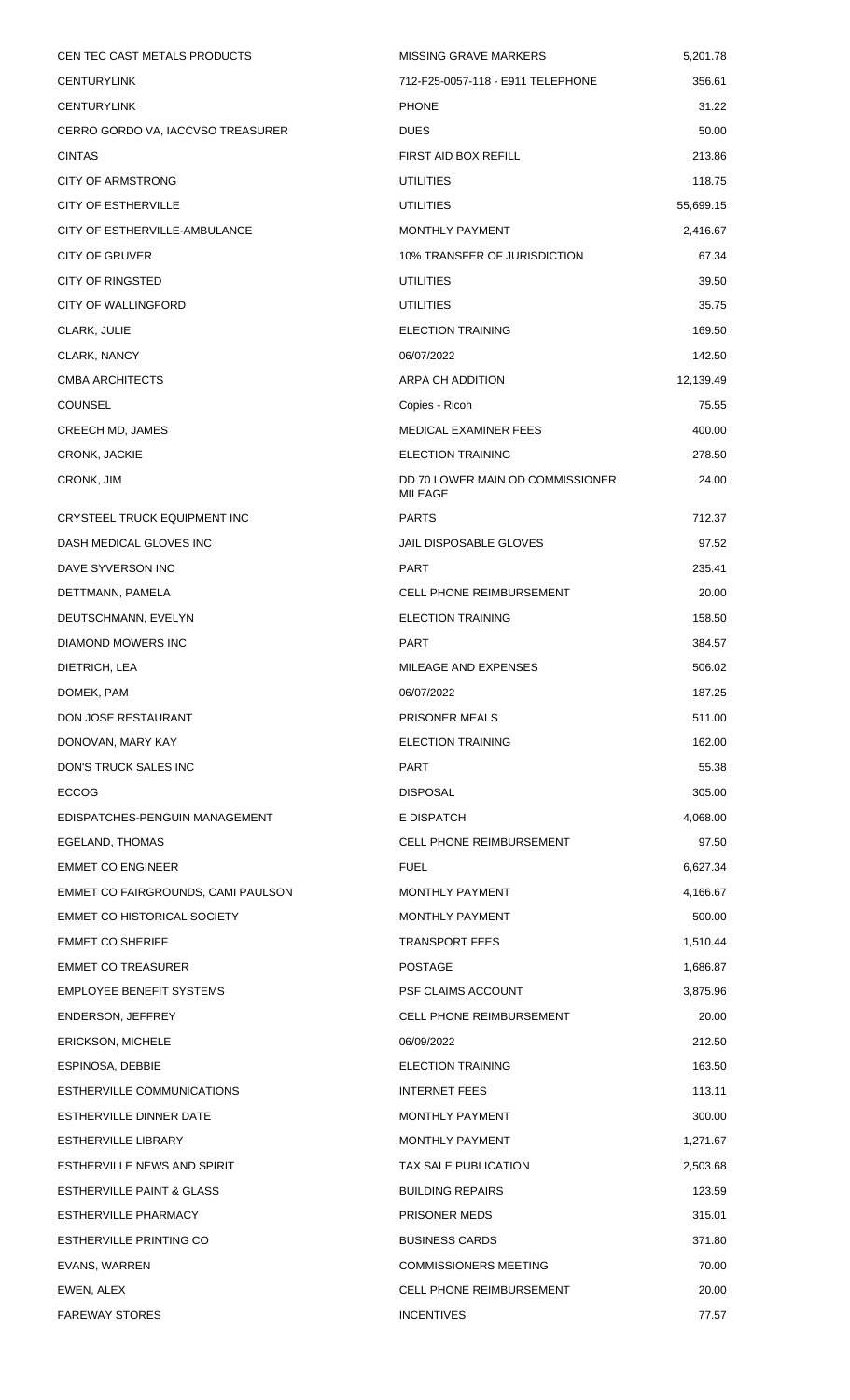| CEN TEC CAST METALS PRODUCTS         | <b>MISSING GRAVE MARKERS</b>                       | 5,201.78  |
|--------------------------------------|----------------------------------------------------|-----------|
| <b>CENTURYLINK</b>                   | 712-F25-0057-118 - E911 TELEPHONE                  | 356.61    |
| <b>CENTURYLINK</b>                   | <b>PHONE</b>                                       | 31.22     |
| CERRO GORDO VA, IACCVSO TREASURER    | <b>DUES</b>                                        | 50.00     |
| <b>CINTAS</b>                        | FIRST AID BOX REFILL                               | 213.86    |
| <b>CITY OF ARMSTRONG</b>             | <b>UTILITIES</b>                                   | 118.75    |
| <b>CITY OF ESTHERVILLE</b>           | <b>UTILITIES</b>                                   | 55,699.15 |
| CITY OF ESTHERVILLE-AMBULANCE        | MONTHLY PAYMENT                                    | 2,416.67  |
| CITY OF GRUVER                       | 10% TRANSFER OF JURISDICTION                       | 67.34     |
| <b>CITY OF RINGSTED</b>              | <b>UTILITIES</b>                                   | 39.50     |
| <b>CITY OF WALLINGFORD</b>           | <b>UTILITIES</b>                                   | 35.75     |
| CLARK, JULIE                         | <b>ELECTION TRAINING</b>                           | 169.50    |
| CLARK, NANCY                         | 06/07/2022                                         | 142.50    |
| <b>CMBA ARCHITECTS</b>               | ARPA CH ADDITION                                   | 12,139.49 |
| <b>COUNSEL</b>                       | Copies - Ricoh                                     | 75.55     |
| CREECH MD, JAMES                     | MEDICAL EXAMINER FEES                              | 400.00    |
| <b>CRONK, JACKIE</b>                 | <b>ELECTION TRAINING</b>                           | 278.50    |
| CRONK, JIM                           | DD 70 LOWER MAIN OD COMMISSIONER<br><b>MILEAGE</b> | 24.00     |
| CRYSTEEL TRUCK EQUIPMENT INC         | <b>PARTS</b>                                       | 712.37    |
| DASH MEDICAL GLOVES INC              | JAIL DISPOSABLE GLOVES                             | 97.52     |
| DAVE SYVERSON INC                    | <b>PART</b>                                        | 235.41    |
| DETTMANN, PAMELA                     | <b>CELL PHONE REIMBURSEMENT</b>                    | 20.00     |
| DEUTSCHMANN, EVELYN                  | <b>ELECTION TRAINING</b>                           | 158.50    |
| DIAMOND MOWERS INC                   | <b>PART</b>                                        | 384.57    |
| DIETRICH, LEA                        | MILEAGE AND EXPENSES                               | 506.02    |
| DOMEK, PAM                           | 06/07/2022                                         | 187.25    |
| DON JOSE RESTAURANT                  | <b>PRISONER MEALS</b>                              | 511.00    |
| DONOVAN, MARY KAY                    | <b>ELECTION TRAINING</b>                           | 162.00    |
| DON'S TRUCK SALES INC                | <b>PART</b>                                        | 55.38     |
| <b>ECCOG</b>                         | <b>DISPOSAL</b>                                    | 305.00    |
| EDISPATCHES-PENGUIN MANAGEMENT       | E DISPATCH                                         | 4,068.00  |
| EGELAND, THOMAS                      | <b>CELL PHONE REIMBURSEMENT</b>                    | 97.50     |
| <b>EMMET CO ENGINEER</b>             | <b>FUEL</b>                                        | 6,627.34  |
| EMMET CO FAIRGROUNDS, CAMI PAULSON   | MONTHLY PAYMENT                                    | 4,166.67  |
| EMMET CO HISTORICAL SOCIETY          | MONTHLY PAYMENT                                    | 500.00    |
| <b>EMMET CO SHERIFF</b>              | <b>TRANSPORT FEES</b>                              | 1,510.44  |
| <b>EMMET CO TREASURER</b>            | <b>POSTAGE</b>                                     | 1,686.87  |
| <b>EMPLOYEE BENEFIT SYSTEMS</b>      | PSF CLAIMS ACCOUNT                                 | 3,875.96  |
| ENDERSON, JEFFREY                    | <b>CELL PHONE REIMBURSEMENT</b>                    | 20.00     |
| <b>ERICKSON, MICHELE</b>             | 06/09/2022                                         | 212.50    |
| ESPINOSA, DEBBIE                     | <b>ELECTION TRAINING</b>                           | 163.50    |
| ESTHERVILLE COMMUNICATIONS           | <b>INTERNET FEES</b>                               | 113.11    |
| ESTHERVILLE DINNER DATE              | MONTHLY PAYMENT                                    | 300.00    |
| <b>ESTHERVILLE LIBRARY</b>           | MONTHLY PAYMENT                                    | 1,271.67  |
| ESTHERVILLE NEWS AND SPIRIT          | TAX SALE PUBLICATION                               | 2,503.68  |
| <b>ESTHERVILLE PAINT &amp; GLASS</b> | <b>BUILDING REPAIRS</b>                            | 123.59    |
| ESTHERVILLE PHARMACY                 | PRISONER MEDS                                      | 315.01    |
| ESTHERVILLE PRINTING CO              | <b>BUSINESS CARDS</b>                              | 371.80    |
| EVANS, WARREN                        | <b>COMMISSIONERS MEETING</b>                       | 70.00     |
| EWEN, ALEX                           | <b>CELL PHONE REIMBURSEMENT</b>                    | 20.00     |
| <b>FAREWAY STORES</b>                | <b>INCENTIVES</b>                                  | 77.57     |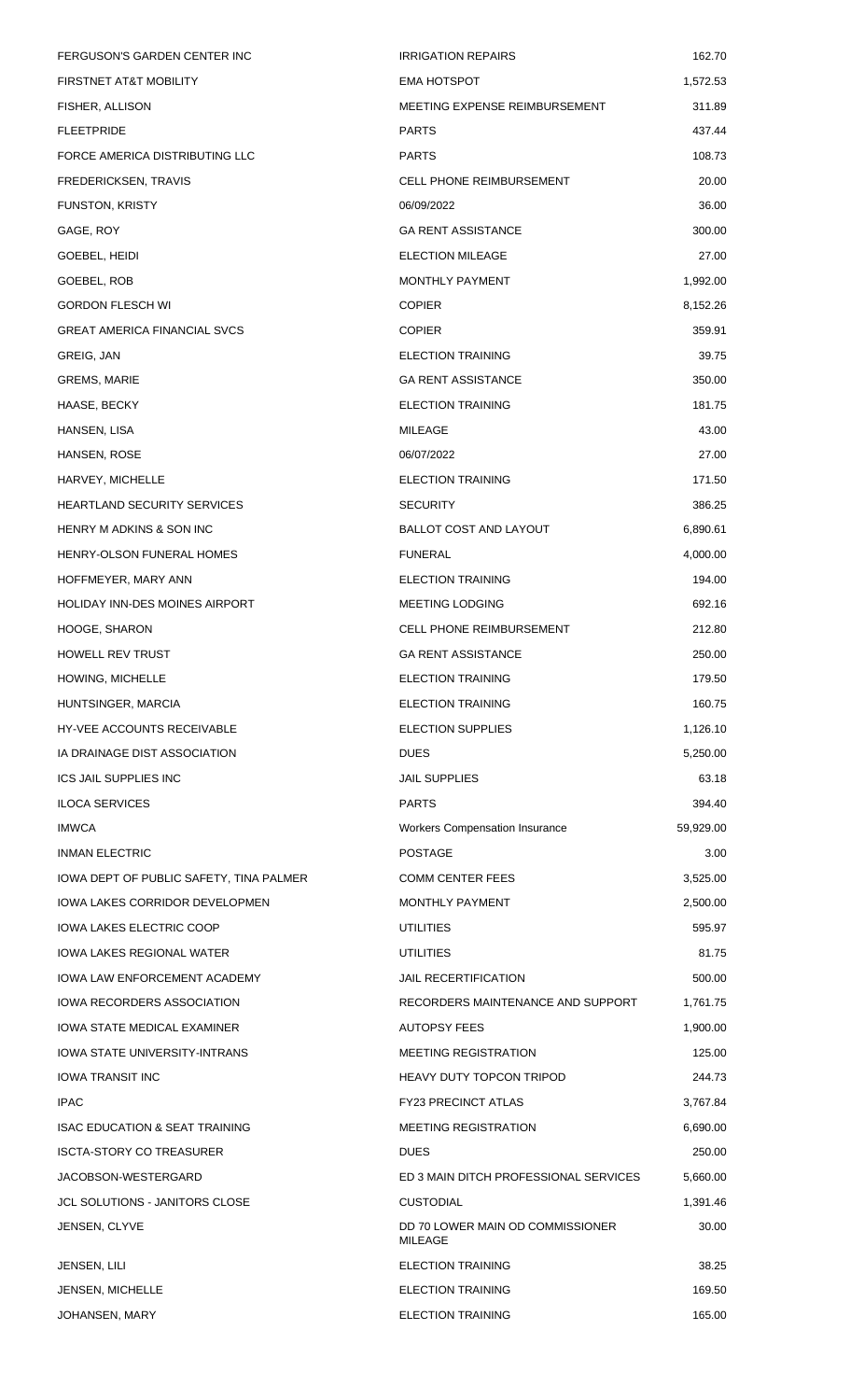| FERGUSON'S GARDEN CENTER INC              | <b>IRRIGATION REPAIRS</b>                   | 162.70    |
|-------------------------------------------|---------------------------------------------|-----------|
| FIRSTNET AT&T MOBILITY                    | <b>EMA HOTSPOT</b>                          | 1,572.53  |
| FISHER, ALLISON                           | MEETING EXPENSE REIMBURSEMENT               | 311.89    |
| <b>FLEETPRIDE</b>                         | <b>PARTS</b>                                | 437.44    |
| FORCE AMERICA DISTRIBUTING LLC            | <b>PARTS</b>                                | 108.73    |
| FREDERICKSEN, TRAVIS                      | <b>CELL PHONE REIMBURSEMENT</b>             | 20.00     |
| FUNSTON, KRISTY                           | 06/09/2022                                  | 36.00     |
| GAGE, ROY                                 | <b>GA RENT ASSISTANCE</b>                   | 300.00    |
| GOEBEL, HEIDI                             | <b>ELECTION MILEAGE</b>                     | 27.00     |
| GOEBEL, ROB                               | MONTHLY PAYMENT                             | 1,992.00  |
| <b>GORDON FLESCH WI</b>                   | <b>COPIER</b>                               | 8,152.26  |
| <b>GREAT AMERICA FINANCIAL SVCS</b>       | <b>COPIER</b>                               | 359.91    |
| GREIG, JAN                                | <b>ELECTION TRAINING</b>                    | 39.75     |
| GREMS, MARIE                              | <b>GA RENT ASSISTANCE</b>                   | 350.00    |
| HAASE, BECKY                              | <b>ELECTION TRAINING</b>                    | 181.75    |
| HANSEN, LISA                              | MILEAGE                                     | 43.00     |
| HANSEN, ROSE                              | 06/07/2022                                  | 27.00     |
| HARVEY, MICHELLE                          | <b>ELECTION TRAINING</b>                    | 171.50    |
| <b>HEARTLAND SECURITY SERVICES</b>        | <b>SECURITY</b>                             | 386.25    |
| HENRY M ADKINS & SON INC                  | BALLOT COST AND LAYOUT                      | 6,890.61  |
| HENRY-OLSON FUNERAL HOMES                 | <b>FUNERAL</b>                              | 4,000.00  |
| HOFFMEYER, MARY ANN                       | <b>ELECTION TRAINING</b>                    | 194.00    |
| HOLIDAY INN-DES MOINES AIRPORT            | <b>MEETING LODGING</b>                      | 692.16    |
| HOOGE, SHARON                             | <b>CELL PHONE REIMBURSEMENT</b>             | 212.80    |
| <b>HOWELL REV TRUST</b>                   | <b>GA RENT ASSISTANCE</b>                   | 250.00    |
| HOWING, MICHELLE                          | <b>ELECTION TRAINING</b>                    | 179.50    |
| HUNTSINGER, MARCIA                        | <b>ELECTION TRAINING</b>                    | 160.75    |
| <b>HY-VEE ACCOUNTS RECEIVABLE</b>         | <b>ELECTION SUPPLIES</b>                    | 1,126.10  |
| IA DRAINAGE DIST ASSOCIATION              | <b>DUES</b>                                 | 5,250.00  |
| <b>ICS JAIL SUPPLIES INC</b>              | <b>JAIL SUPPLIES</b>                        | 63.18     |
| <b>ILOCA SERVICES</b>                     | <b>PARTS</b>                                | 394.40    |
| <b>IMWCA</b>                              | <b>Workers Compensation Insurance</b>       | 59,929.00 |
| <b>INMAN ELECTRIC</b>                     | <b>POSTAGE</b>                              | 3.00      |
| IOWA DEPT OF PUBLIC SAFETY, TINA PALMER   | <b>COMM CENTER FEES</b>                     | 3,525.00  |
| IOWA LAKES CORRIDOR DEVELOPMEN            | <b>MONTHLY PAYMENT</b>                      | 2,500.00  |
| <b>IOWA LAKES ELECTRIC COOP</b>           | <b>UTILITIES</b>                            | 595.97    |
| IOWA LAKES REGIONAL WATER                 | UTILITIES                                   | 81.75     |
| IOWA LAW ENFORCEMENT ACADEMY              | <b>JAIL RECERTIFICATION</b>                 | 500.00    |
| IOWA RECORDERS ASSOCIATION                | RECORDERS MAINTENANCE AND SUPPORT           | 1,761.75  |
| <b>IOWA STATE MEDICAL EXAMINER</b>        | <b>AUTOPSY FEES</b>                         | 1,900.00  |
| IOWA STATE UNIVERSITY-INTRANS             | <b>MEETING REGISTRATION</b>                 | 125.00    |
| IOWA TRANSIT INC                          | HEAVY DUTY TOPCON TRIPOD                    | 244.73    |
| <b>IPAC</b>                               | <b>FY23 PRECINCT ATLAS</b>                  | 3,767.84  |
| <b>ISAC EDUCATION &amp; SEAT TRAINING</b> | <b>MEETING REGISTRATION</b>                 | 6,690.00  |
| <b>ISCTA-STORY CO TREASURER</b>           | <b>DUES</b>                                 | 250.00    |
| JACOBSON-WESTERGARD                       | ED 3 MAIN DITCH PROFESSIONAL SERVICES       | 5,660.00  |
| JCL SOLUTIONS - JANITORS CLOSE            | <b>CUSTODIAL</b>                            | 1,391.46  |
| JENSEN, CLYVE                             | DD 70 LOWER MAIN OD COMMISSIONER<br>MILEAGE | 30.00     |
| JENSEN, LILI                              | <b>ELECTION TRAINING</b>                    | 38.25     |
| <b>JENSEN, MICHELLE</b>                   | <b>ELECTION TRAINING</b>                    | 169.50    |
| JOHANSEN, MARY                            | <b>ELECTION TRAINING</b>                    | 165.00    |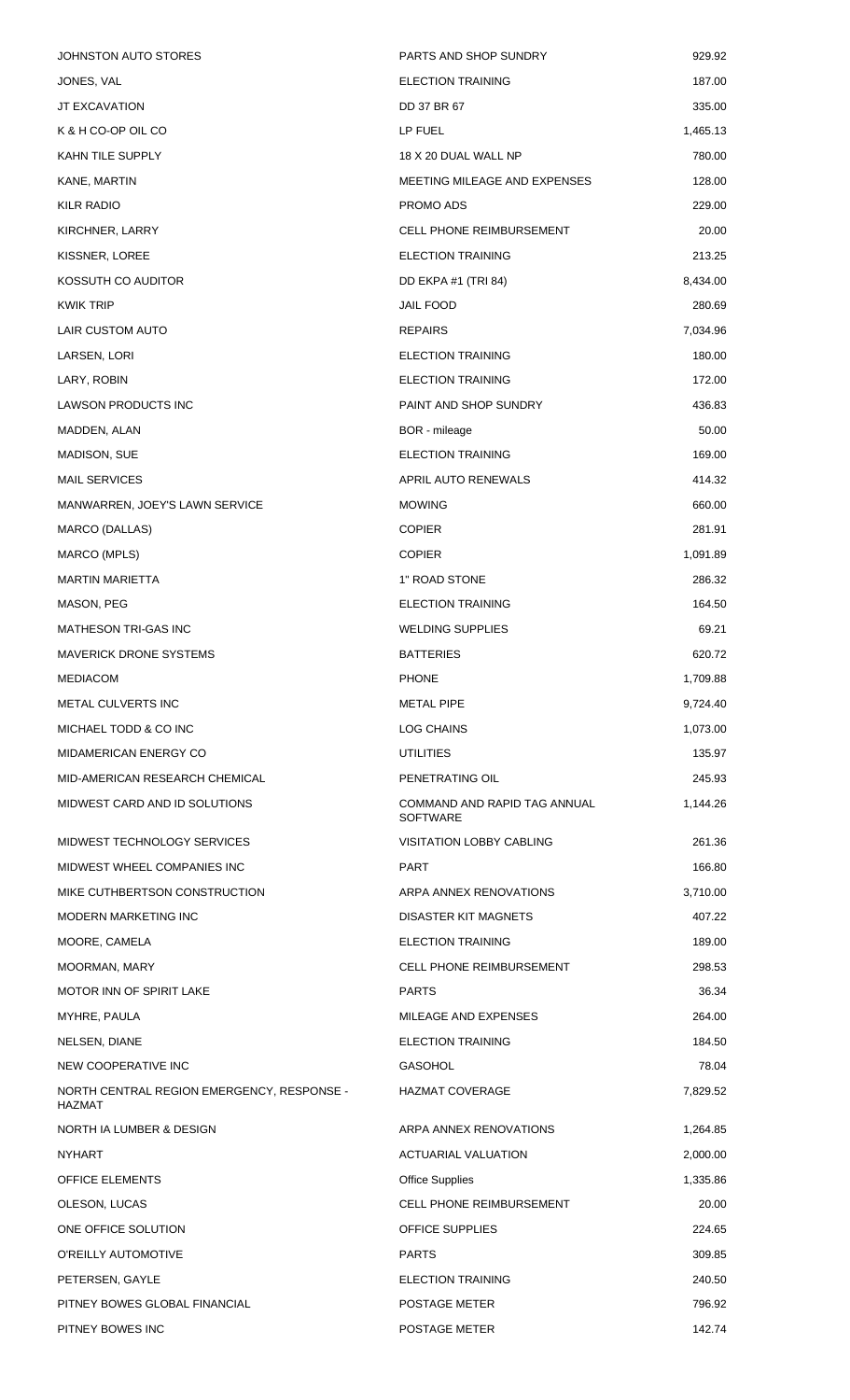| JOHNSTON AUTO STORES                                        | PARTS AND SHOP SUNDRY                           | 929.92   |
|-------------------------------------------------------------|-------------------------------------------------|----------|
| JONES, VAL                                                  | <b>ELECTION TRAINING</b>                        | 187.00   |
| JT EXCAVATION                                               | DD 37 BR 67                                     | 335.00   |
| K & H CO-OP OIL CO                                          | LP FUEL                                         | 1,465.13 |
| KAHN TILE SUPPLY                                            | 18 X 20 DUAL WALL NP                            | 780.00   |
| KANE, MARTIN                                                | MEETING MILEAGE AND EXPENSES                    | 128.00   |
| <b>KILR RADIO</b>                                           | PROMO ADS                                       | 229.00   |
| KIRCHNER, LARRY                                             | <b>CELL PHONE REIMBURSEMENT</b>                 | 20.00    |
| KISSNER, LOREE                                              | <b>ELECTION TRAINING</b>                        | 213.25   |
| KOSSUTH CO AUDITOR                                          | DD EKPA #1 (TRI 84)                             | 8,434.00 |
| <b>KWIK TRIP</b>                                            | <b>JAIL FOOD</b>                                | 280.69   |
| LAIR CUSTOM AUTO                                            | <b>REPAIRS</b>                                  | 7,034.96 |
| LARSEN, LORI                                                | <b>ELECTION TRAINING</b>                        | 180.00   |
| LARY, ROBIN                                                 | <b>ELECTION TRAINING</b>                        | 172.00   |
| LAWSON PRODUCTS INC                                         | PAINT AND SHOP SUNDRY                           | 436.83   |
| MADDEN, ALAN                                                | BOR - mileage                                   | 50.00    |
| MADISON, SUE                                                | <b>ELECTION TRAINING</b>                        | 169.00   |
| <b>MAIL SERVICES</b>                                        | APRIL AUTO RENEWALS                             | 414.32   |
| MANWARREN, JOEY'S LAWN SERVICE                              | <b>MOWING</b>                                   | 660.00   |
| MARCO (DALLAS)                                              | <b>COPIER</b>                                   | 281.91   |
| MARCO (MPLS)                                                | <b>COPIER</b>                                   | 1,091.89 |
| <b>MARTIN MARIETTA</b>                                      | 1" ROAD STONE                                   | 286.32   |
| MASON, PEG                                                  | <b>ELECTION TRAINING</b>                        | 164.50   |
| MATHESON TRI-GAS INC                                        | WELDING SUPPLIES                                | 69.21    |
| <b>MAVERICK DRONE SYSTEMS</b>                               | <b>BATTERIES</b>                                | 620.72   |
| <b>MEDIACOM</b>                                             | <b>PHONE</b>                                    | 1,709.88 |
| <b>METAL CULVERTS INC</b>                                   | <b>METAL PIPE</b>                               | 9,724.40 |
| MICHAEL TODD & CO INC                                       | <b>LOG CHAINS</b>                               | 1,073.00 |
| MIDAMERICAN ENERGY CO                                       | UTILITIES                                       | 135.97   |
| MID-AMERICAN RESEARCH CHEMICAL                              | PENETRATING OIL                                 | 245.93   |
| MIDWEST CARD AND ID SOLUTIONS                               | COMMAND AND RAPID TAG ANNUAL<br><b>SOFTWARE</b> | 1,144.26 |
| MIDWEST TECHNOLOGY SERVICES                                 | <b>VISITATION LOBBY CABLING</b>                 | 261.36   |
| MIDWEST WHEEL COMPANIES INC                                 | <b>PART</b>                                     | 166.80   |
| MIKE CUTHBERTSON CONSTRUCTION                               | ARPA ANNEX RENOVATIONS                          | 3,710.00 |
| MODERN MARKETING INC                                        | DISASTER KIT MAGNETS                            | 407.22   |
| MOORE, CAMELA                                               | <b>ELECTION TRAINING</b>                        | 189.00   |
| MOORMAN, MARY                                               | <b>CELL PHONE REIMBURSEMENT</b>                 | 298.53   |
| MOTOR INN OF SPIRIT LAKE                                    | <b>PARTS</b>                                    | 36.34    |
| MYHRE, PAULA                                                | MILEAGE AND EXPENSES                            | 264.00   |
| NELSEN, DIANE                                               | <b>ELECTION TRAINING</b>                        | 184.50   |
| NEW COOPERATIVE INC                                         | <b>GASOHOL</b>                                  | 78.04    |
| NORTH CENTRAL REGION EMERGENCY, RESPONSE -<br><b>HAZMAT</b> | HAZMAT COVERAGE                                 | 7,829.52 |
| NORTH IA LUMBER & DESIGN                                    | ARPA ANNEX RENOVATIONS                          | 1,264.85 |
| <b>NYHART</b>                                               | <b>ACTUARIAL VALUATION</b>                      | 2,000.00 |
| <b>OFFICE ELEMENTS</b>                                      | <b>Office Supplies</b>                          | 1,335.86 |
| OLESON, LUCAS                                               | <b>CELL PHONE REIMBURSEMENT</b>                 | 20.00    |
| ONE OFFICE SOLUTION                                         | <b>OFFICE SUPPLIES</b>                          | 224.65   |
| O'REILLY AUTOMOTIVE                                         | <b>PARTS</b>                                    | 309.85   |
| PETERSEN, GAYLE                                             | <b>ELECTION TRAINING</b>                        | 240.50   |
| PITNEY BOWES GLOBAL FINANCIAL                               | POSTAGE METER                                   | 796.92   |
| PITNEY BOWES INC                                            | POSTAGE METER                                   | 142.74   |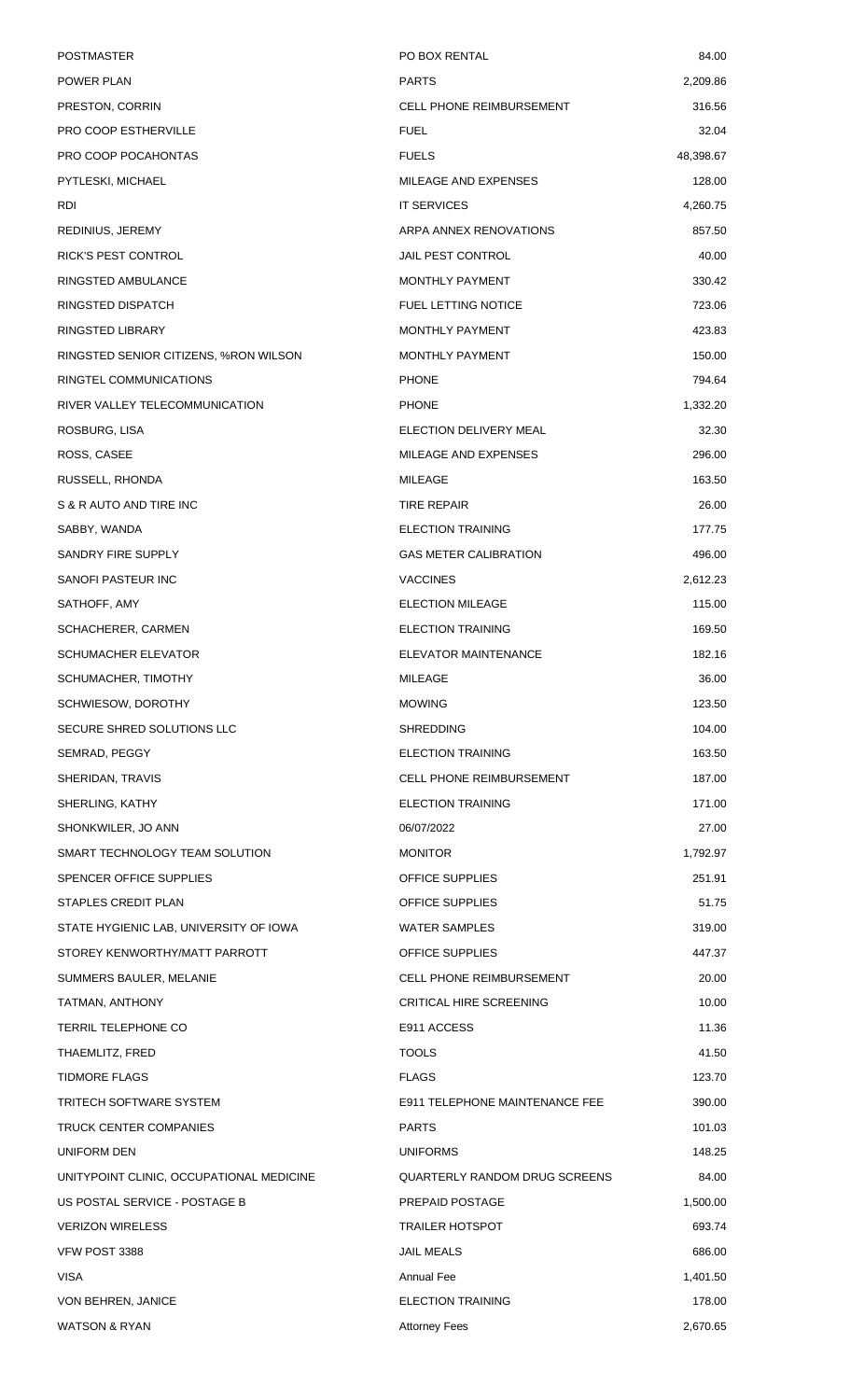| <b>POSTMASTER</b>                        | PO BOX RENTAL                        | 84.00     |
|------------------------------------------|--------------------------------------|-----------|
| POWER PLAN                               | <b>PARTS</b>                         | 2,209.86  |
| PRESTON, CORRIN                          | <b>CELL PHONE REIMBURSEMENT</b>      | 316.56    |
| PRO COOP ESTHERVILLE                     | <b>FUEL</b>                          | 32.04     |
| PRO COOP POCAHONTAS                      | <b>FUELS</b>                         | 48,398.67 |
| PYTLESKI, MICHAEL                        | MILEAGE AND EXPENSES                 | 128.00    |
| RDI                                      | <b>IT SERVICES</b>                   | 4,260.75  |
| REDINIUS, JEREMY                         | ARPA ANNEX RENOVATIONS               | 857.50    |
| RICK'S PEST CONTROL                      | <b>JAIL PEST CONTROL</b>             | 40.00     |
| RINGSTED AMBULANCE                       | MONTHLY PAYMENT                      | 330.42    |
| RINGSTED DISPATCH                        | <b>FUEL LETTING NOTICE</b>           | 723.06    |
| RINGSTED LIBRARY                         | MONTHLY PAYMENT                      | 423.83    |
| RINGSTED SENIOR CITIZENS, %RON WILSON    | <b>MONTHLY PAYMENT</b>               | 150.00    |
| RINGTEL COMMUNICATIONS                   | <b>PHONE</b>                         | 794.64    |
| RIVER VALLEY TELECOMMUNICATION           | <b>PHONE</b>                         | 1,332.20  |
| ROSBURG, LISA                            | ELECTION DELIVERY MEAL               | 32.30     |
| ROSS, CASEE                              | MILEAGE AND EXPENSES                 | 296.00    |
| RUSSELL, RHONDA                          | MILEAGE                              | 163.50    |
| S & R AUTO AND TIRE INC                  | <b>TIRE REPAIR</b>                   | 26.00     |
| SABBY, WANDA                             | <b>ELECTION TRAINING</b>             | 177.75    |
| SANDRY FIRE SUPPLY                       | <b>GAS METER CALIBRATION</b>         | 496.00    |
| SANOFI PASTEUR INC                       | <b>VACCINES</b>                      | 2,612.23  |
| SATHOFF, AMY                             | <b>ELECTION MILEAGE</b>              | 115.00    |
| SCHACHERER, CARMEN                       | <b>ELECTION TRAINING</b>             | 169.50    |
| <b>SCHUMACHER ELEVATOR</b>               | ELEVATOR MAINTENANCE                 | 182.16    |
| SCHUMACHER, TIMOTHY                      | <b>MILEAGE</b>                       | 36.00     |
| SCHWIESOW, DOROTHY                       | <b>MOWING</b>                        | 123.50    |
| SECURE SHRED SOLUTIONS LLC               | <b>SHREDDING</b>                     | 104.00    |
| SEMRAD, PEGGY                            | <b>ELECTION TRAINING</b>             | 163.50    |
| SHERIDAN, TRAVIS                         | <b>CELL PHONE REIMBURSEMENT</b>      | 187.00    |
| SHERLING, KATHY                          | <b>ELECTION TRAINING</b>             | 171.00    |
| SHONKWILER, JO ANN                       | 06/07/2022                           | 27.00     |
| SMART TECHNOLOGY TEAM SOLUTION           | <b>MONITOR</b>                       | 1,792.97  |
| SPENCER OFFICE SUPPLIES                  | OFFICE SUPPLIES                      | 251.91    |
| STAPLES CREDIT PLAN                      | OFFICE SUPPLIES                      | 51.75     |
| STATE HYGIENIC LAB, UNIVERSITY OF IOWA   | <b>WATER SAMPLES</b>                 | 319.00    |
| STOREY KENWORTHY/MATT PARROTT            | OFFICE SUPPLIES                      | 447.37    |
| SUMMERS BAULER, MELANIE                  | <b>CELL PHONE REIMBURSEMENT</b>      | 20.00     |
| TATMAN, ANTHONY                          | <b>CRITICAL HIRE SCREENING</b>       | 10.00     |
| <b>TERRIL TELEPHONE CO</b>               | E911 ACCESS                          | 11.36     |
| THAEMLITZ, FRED                          | <b>TOOLS</b>                         | 41.50     |
| <b>TIDMORE FLAGS</b>                     | <b>FLAGS</b>                         | 123.70    |
| TRITECH SOFTWARE SYSTEM                  | E911 TELEPHONE MAINTENANCE FEE       | 390.00    |
| TRUCK CENTER COMPANIES                   | <b>PARTS</b>                         | 101.03    |
| UNIFORM DEN                              | <b>UNIFORMS</b>                      | 148.25    |
| UNITYPOINT CLINIC, OCCUPATIONAL MEDICINE | <b>QUARTERLY RANDOM DRUG SCREENS</b> | 84.00     |
| US POSTAL SERVICE - POSTAGE B            | PREPAID POSTAGE                      | 1,500.00  |
| <b>VERIZON WIRELESS</b>                  | <b>TRAILER HOTSPOT</b>               | 693.74    |
| VFW POST 3388                            | <b>JAIL MEALS</b>                    | 686.00    |
| <b>VISA</b>                              | <b>Annual Fee</b>                    | 1,401.50  |
| VON BEHREN, JANICE                       | <b>ELECTION TRAINING</b>             | 178.00    |
| <b>WATSON &amp; RYAN</b>                 | <b>Attorney Fees</b>                 | 2,670.65  |